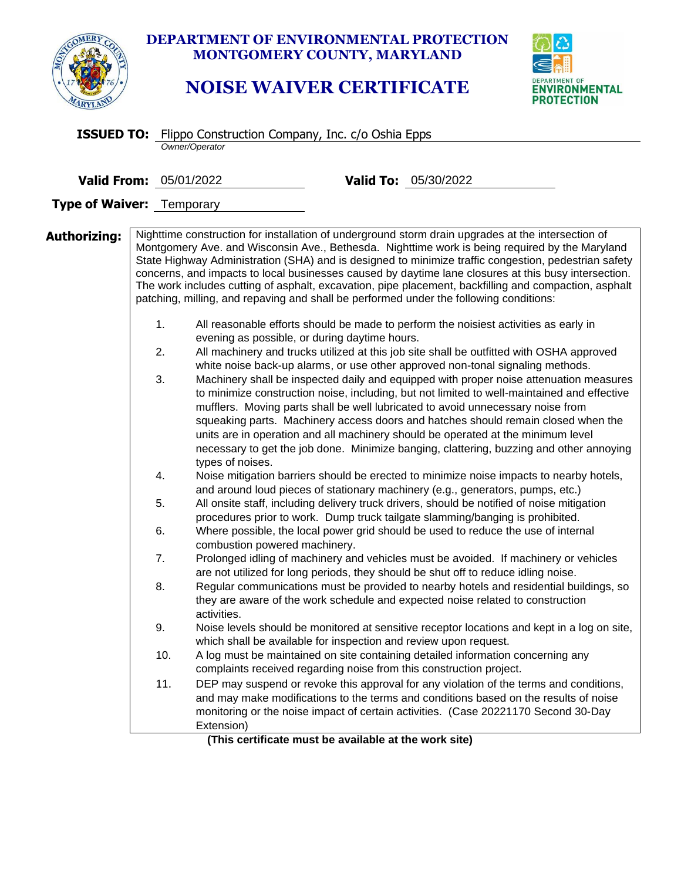|                                  | <b>DEPARTMENT OF ENVIRONMENTAL PROTECTION</b><br>MONTGOMERY COUNTY, MARYLAND<br><b>NOISE WAIVER CERTIFICATE</b><br><b>IVIRONMENTAL</b><br>PROTECTION                                                                                                                                                                                                                                                                                                                                                                                                                                                                                                                                                                                                                                                                                                                                                                                                                                                                                                                                                                                                                                                                                                                                                                                                                                                                                                                                                                                                                                                                                                                                                                                                                                                                                                                                                                                                                                                                                                                                                                                                                                                                                                                                                                                                                                                                                                                                                                                                                                                                                                                                                                                                                                                                                                                                                                                                                                                                                                                                                                          |
|----------------------------------|-------------------------------------------------------------------------------------------------------------------------------------------------------------------------------------------------------------------------------------------------------------------------------------------------------------------------------------------------------------------------------------------------------------------------------------------------------------------------------------------------------------------------------------------------------------------------------------------------------------------------------------------------------------------------------------------------------------------------------------------------------------------------------------------------------------------------------------------------------------------------------------------------------------------------------------------------------------------------------------------------------------------------------------------------------------------------------------------------------------------------------------------------------------------------------------------------------------------------------------------------------------------------------------------------------------------------------------------------------------------------------------------------------------------------------------------------------------------------------------------------------------------------------------------------------------------------------------------------------------------------------------------------------------------------------------------------------------------------------------------------------------------------------------------------------------------------------------------------------------------------------------------------------------------------------------------------------------------------------------------------------------------------------------------------------------------------------------------------------------------------------------------------------------------------------------------------------------------------------------------------------------------------------------------------------------------------------------------------------------------------------------------------------------------------------------------------------------------------------------------------------------------------------------------------------------------------------------------------------------------------------------------------------------------------------------------------------------------------------------------------------------------------------------------------------------------------------------------------------------------------------------------------------------------------------------------------------------------------------------------------------------------------------------------------------------------------------------------------------------------------------|
|                                  | <b>ISSUED TO:</b> Flippo Construction Company, Inc. c/o Oshia Epps<br>Owner/Operator                                                                                                                                                                                                                                                                                                                                                                                                                                                                                                                                                                                                                                                                                                                                                                                                                                                                                                                                                                                                                                                                                                                                                                                                                                                                                                                                                                                                                                                                                                                                                                                                                                                                                                                                                                                                                                                                                                                                                                                                                                                                                                                                                                                                                                                                                                                                                                                                                                                                                                                                                                                                                                                                                                                                                                                                                                                                                                                                                                                                                                          |
|                                  |                                                                                                                                                                                                                                                                                                                                                                                                                                                                                                                                                                                                                                                                                                                                                                                                                                                                                                                                                                                                                                                                                                                                                                                                                                                                                                                                                                                                                                                                                                                                                                                                                                                                                                                                                                                                                                                                                                                                                                                                                                                                                                                                                                                                                                                                                                                                                                                                                                                                                                                                                                                                                                                                                                                                                                                                                                                                                                                                                                                                                                                                                                                               |
| <b>Valid From: 05/01/2022</b>    | Valid To: 05/30/2022                                                                                                                                                                                                                                                                                                                                                                                                                                                                                                                                                                                                                                                                                                                                                                                                                                                                                                                                                                                                                                                                                                                                                                                                                                                                                                                                                                                                                                                                                                                                                                                                                                                                                                                                                                                                                                                                                                                                                                                                                                                                                                                                                                                                                                                                                                                                                                                                                                                                                                                                                                                                                                                                                                                                                                                                                                                                                                                                                                                                                                                                                                          |
| <b>Type of Waiver: Temporary</b> |                                                                                                                                                                                                                                                                                                                                                                                                                                                                                                                                                                                                                                                                                                                                                                                                                                                                                                                                                                                                                                                                                                                                                                                                                                                                                                                                                                                                                                                                                                                                                                                                                                                                                                                                                                                                                                                                                                                                                                                                                                                                                                                                                                                                                                                                                                                                                                                                                                                                                                                                                                                                                                                                                                                                                                                                                                                                                                                                                                                                                                                                                                                               |
| Authorizing:                     | Nighttime construction for installation of underground storm drain upgrades at the intersection of<br>Montgomery Ave. and Wisconsin Ave., Bethesda. Nighttime work is being required by the Maryland<br>State Highway Administration (SHA) and is designed to minimize traffic congestion, pedestrian safety<br>concerns, and impacts to local businesses caused by daytime lane closures at this busy intersection.<br>The work includes cutting of asphalt, excavation, pipe placement, backfilling and compaction, asphalt<br>patching, milling, and repaving and shall be performed under the following conditions:<br>1.<br>All reasonable efforts should be made to perform the noisiest activities as early in<br>evening as possible, or during daytime hours.<br>All machinery and trucks utilized at this job site shall be outfitted with OSHA approved<br>2.<br>white noise back-up alarms, or use other approved non-tonal signaling methods.<br>3.<br>Machinery shall be inspected daily and equipped with proper noise attenuation measures<br>to minimize construction noise, including, but not limited to well-maintained and effective<br>mufflers. Moving parts shall be well lubricated to avoid unnecessary noise from<br>squeaking parts. Machinery access doors and hatches should remain closed when the<br>units are in operation and all machinery should be operated at the minimum level<br>necessary to get the job done. Minimize banging, clattering, buzzing and other annoying<br>types of noises.<br>Noise mitigation barriers should be erected to minimize noise impacts to nearby hotels,<br>4.<br>and around loud pieces of stationary machinery (e.g., generators, pumps, etc.)<br>All onsite staff, including delivery truck drivers, should be notified of noise mitigation<br>5.<br>procedures prior to work. Dump truck tailgate slamming/banging is prohibited.<br>6.<br>Where possible, the local power grid should be used to reduce the use of internal<br>combustion powered machinery.<br>7.<br>Prolonged idling of machinery and vehicles must be avoided. If machinery or vehicles<br>are not utilized for long periods, they should be shut off to reduce idling noise.<br>Regular communications must be provided to nearby hotels and residential buildings, so<br>8.<br>they are aware of the work schedule and expected noise related to construction<br>activities.<br>9.<br>Noise levels should be monitored at sensitive receptor locations and kept in a log on site,<br>which shall be available for inspection and review upon request.<br>10.<br>A log must be maintained on site containing detailed information concerning any<br>complaints received regarding noise from this construction project.<br>DEP may suspend or revoke this approval for any violation of the terms and conditions,<br>11.<br>and may make modifications to the terms and conditions based on the results of noise<br>monitoring or the noise impact of certain activities. (Case 20221170 Second 30-Day<br>Extension)<br>(This certificate must be available at the work site) |